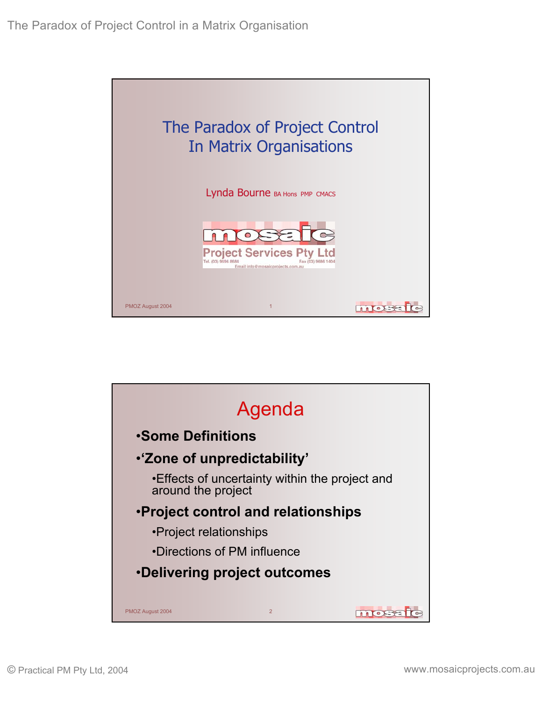

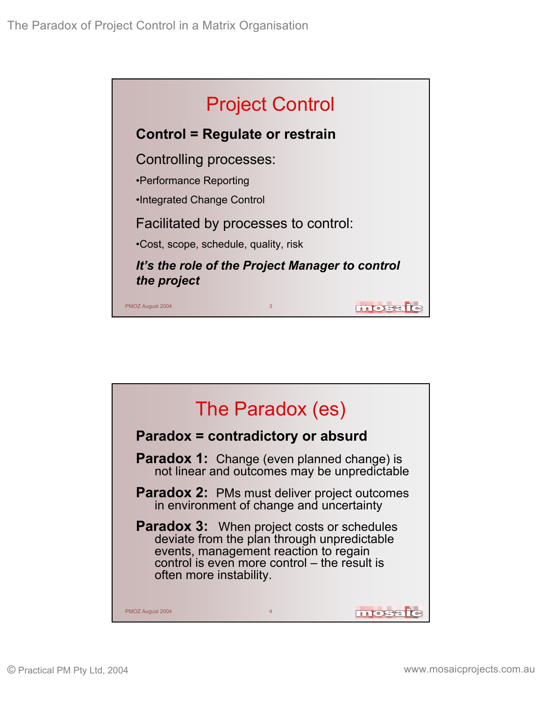

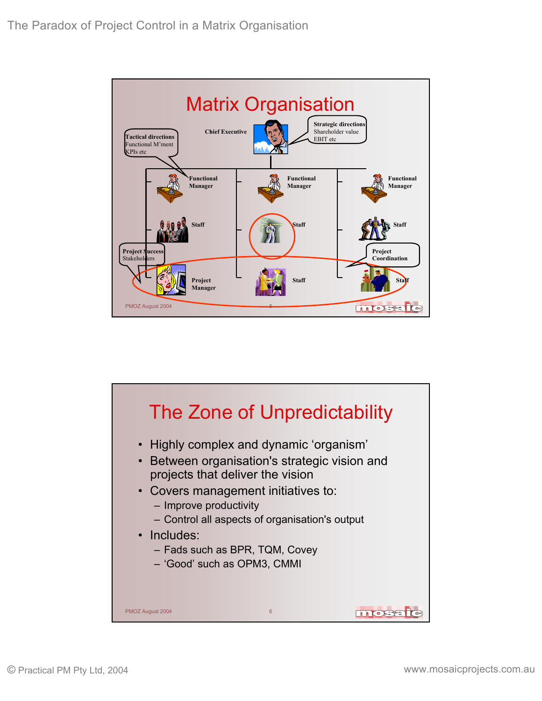

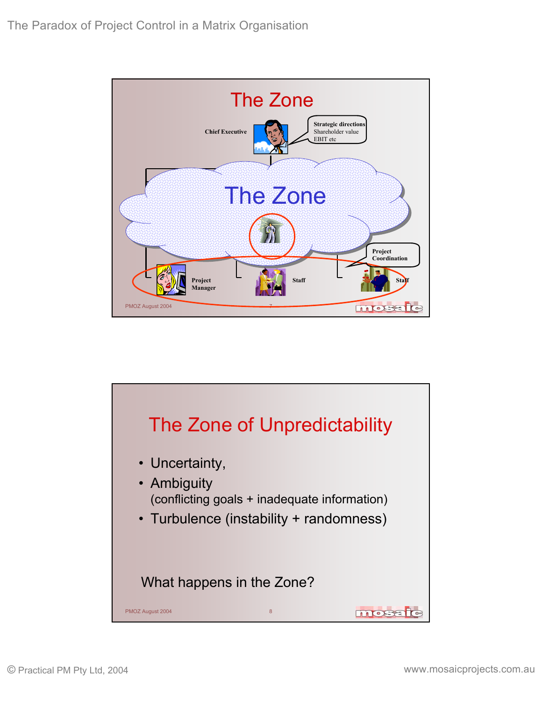

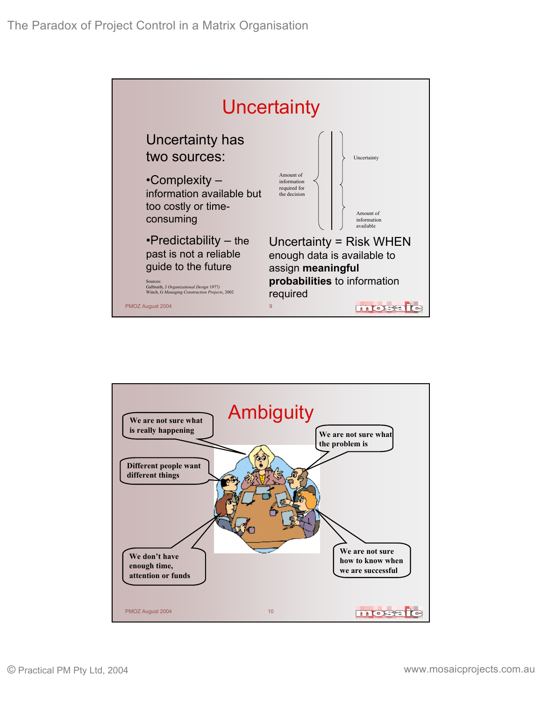

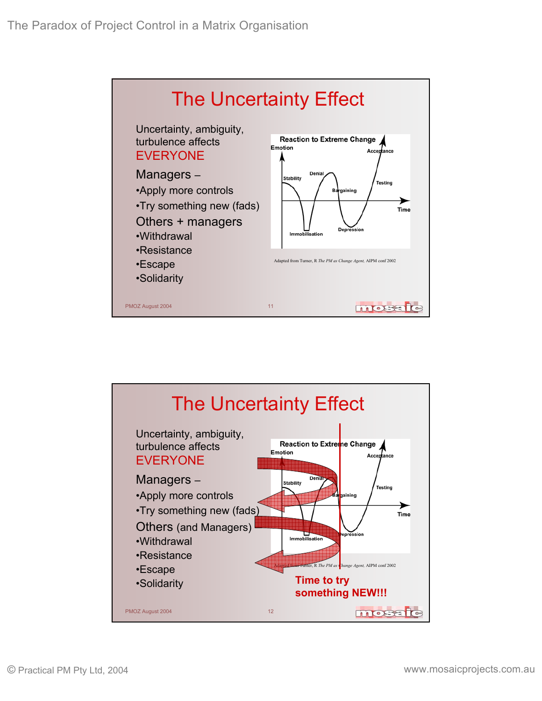

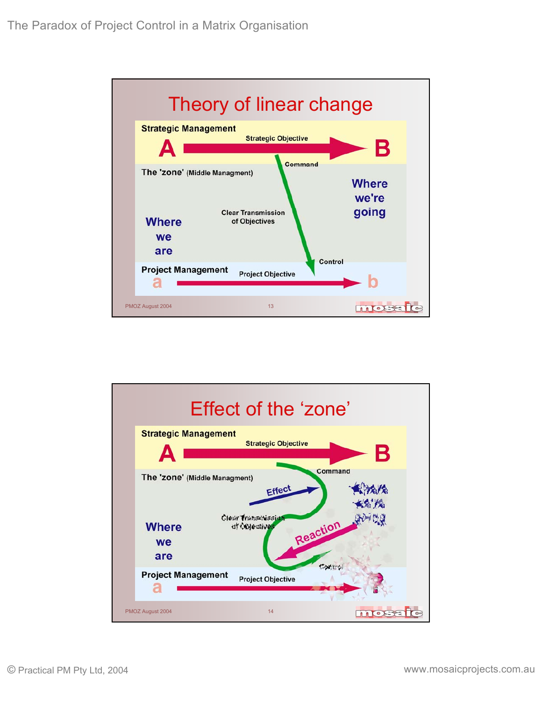

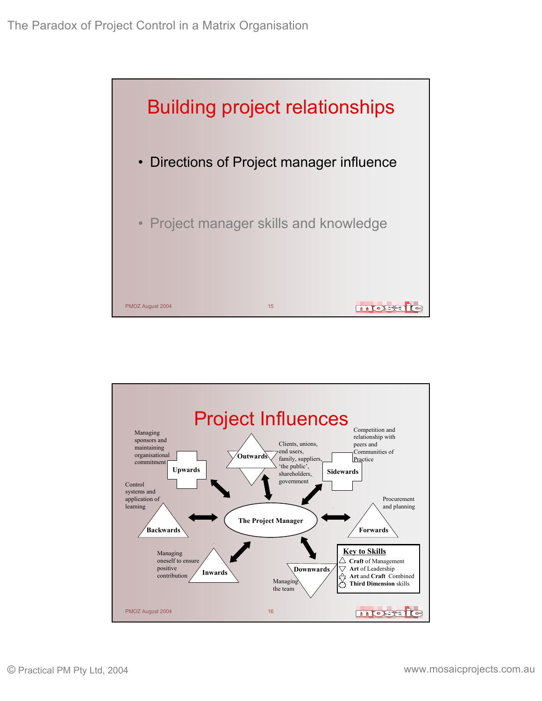

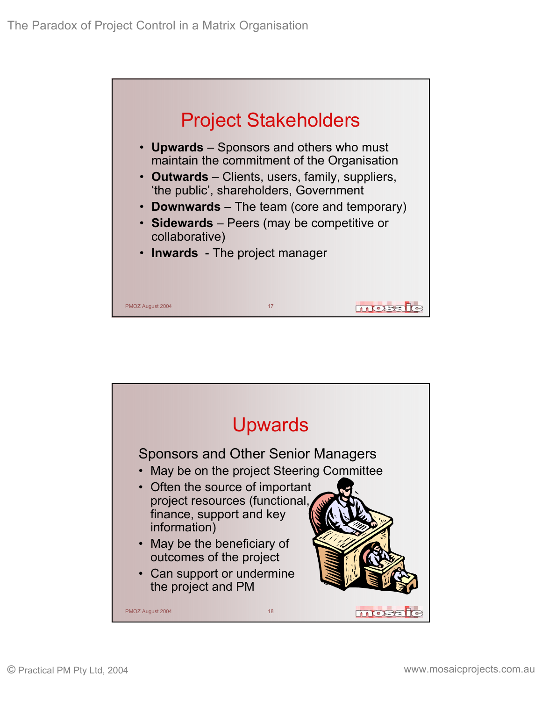

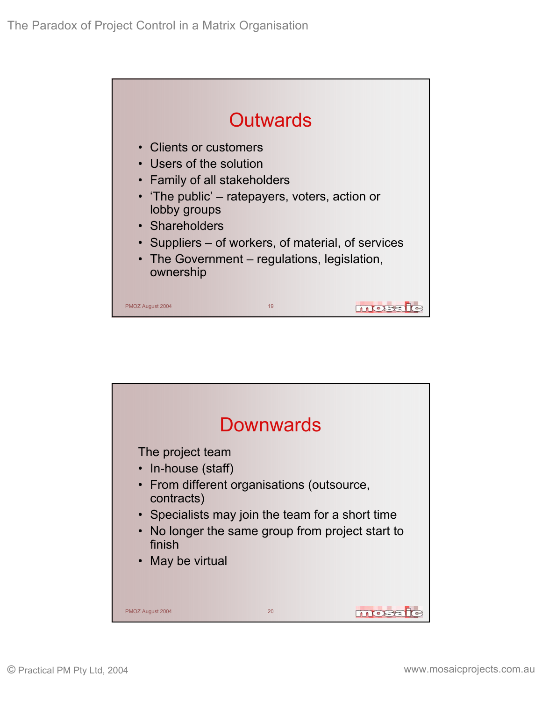

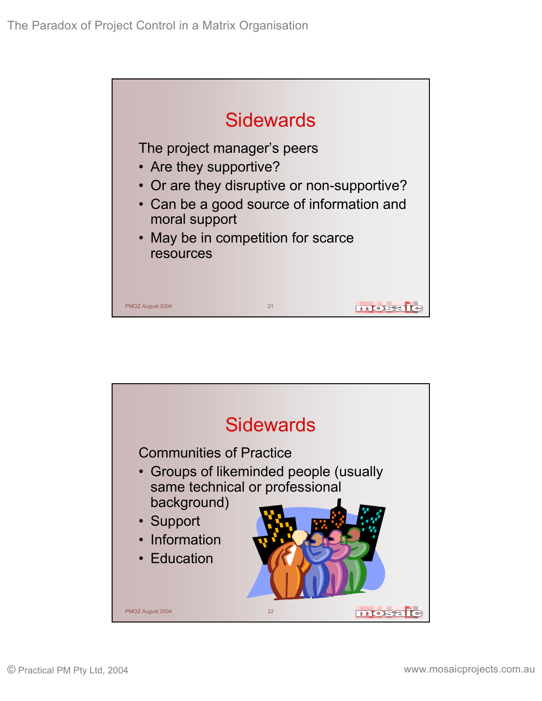

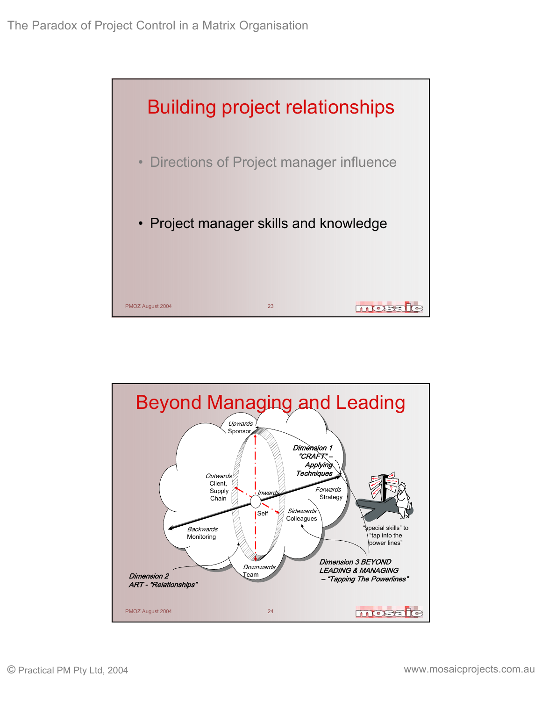

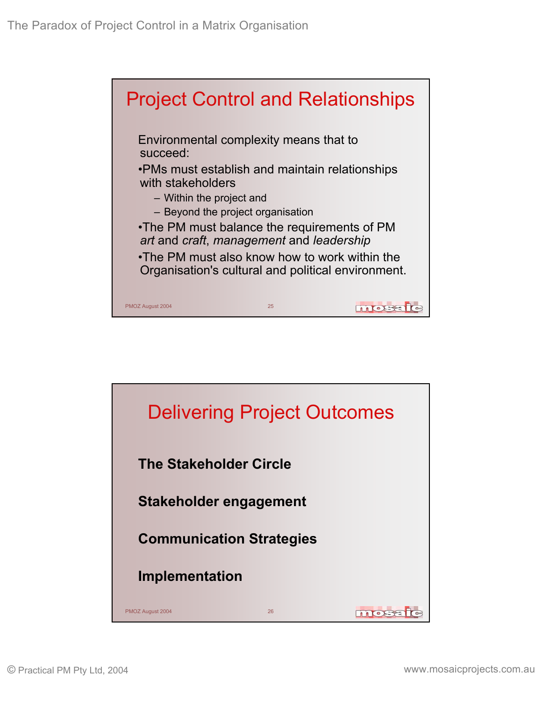

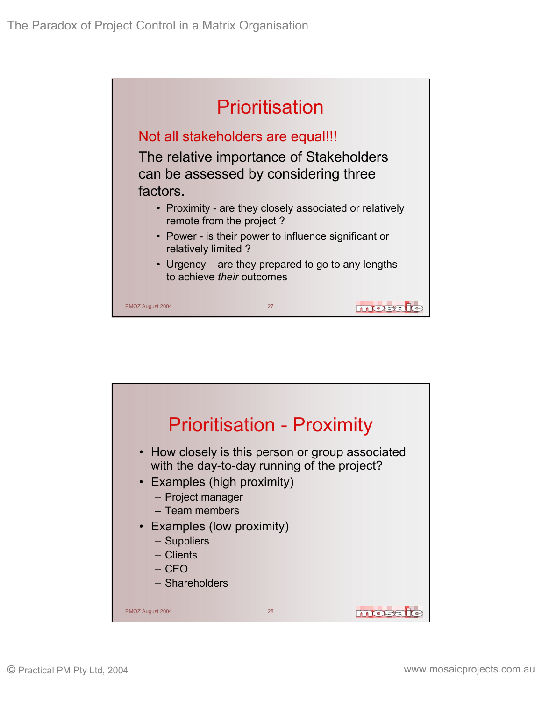

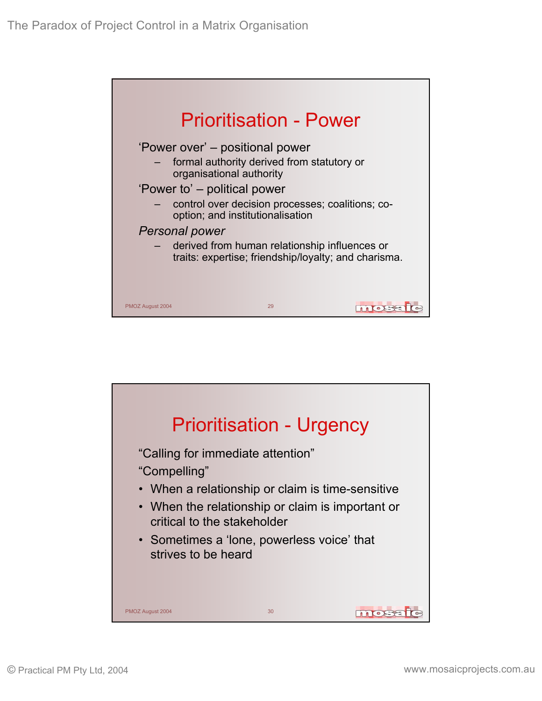

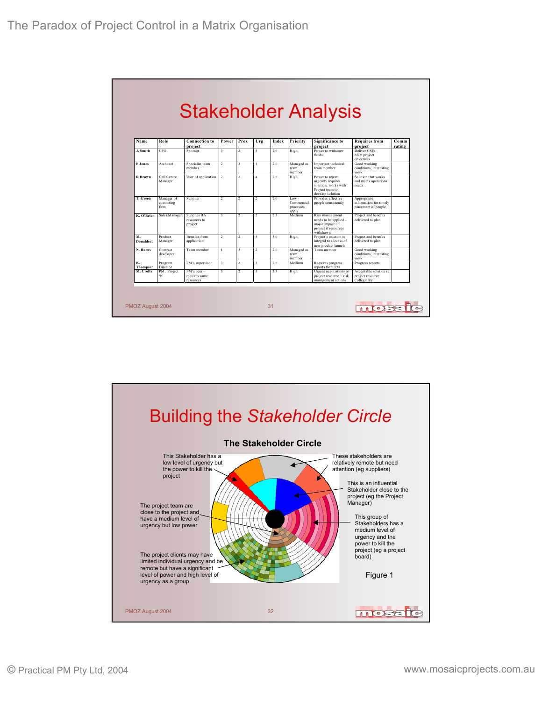|                       |                                   |                                               |                          |                         |                          |       |                                             | <b>Stakeholder Analysis</b>                                                                                        |                                                              |                |
|-----------------------|-----------------------------------|-----------------------------------------------|--------------------------|-------------------------|--------------------------|-------|---------------------------------------------|--------------------------------------------------------------------------------------------------------------------|--------------------------------------------------------------|----------------|
| Name                  | Role                              | <b>Connection to</b><br>project               | Power                    | Prox                    | Urg                      | Index | Priority                                    | <b>Significance to</b><br>project                                                                                  | <b>Requires from</b><br>project                              | Comm<br>rating |
| J. Smith              | <b>CFO</b>                        | Sponsor                                       | $\overline{\mathbf{3}}$  | $\overline{2}$          | $\overline{\mathbf{3}}$  | 26    | High                                        | Power to withdraw<br>funds                                                                                         | Deliver CSEs<br>Meet project<br>objectives                   |                |
| <b>F</b> Jones        | Architect                         | Specialist team<br>member                     | $\overline{\phantom{a}}$ | $\ddot{\mathbf{3}}$     | 1                        | 2.0   | Managed as<br>team<br>member                | Important technical<br>team member                                                                                 | Good working<br>conditions, interesting<br>work              |                |
| <b>R</b> Brown        | Call Centre<br>Manager            | User of application                           | $\mathfrak{D}$           | $\mathcal{D}$           | $\overline{4}$           | 2.6   | High                                        | Power to reject,<br>urgently requires<br>solution, works with<br>Project team to<br>develop solution               | Solution that works<br>and meets operational<br>needs        |                |
| T. Green              | Manager of<br>contacting<br>firm. | Supplier                                      | $\overline{2}$           | $\mathcal{D}$           | $\overline{2}$           | 2.0   | $Low -$<br>Commercial<br>processes<br>apply | Provides effective<br>people consistently                                                                          | Appropriate<br>information for timely<br>placement of people |                |
| K. O'Brien            | Sales Manager                     | Supplies BA<br>resources to<br>project        | $\overline{\mathbf{3}}$  | $\overline{2}$          | $\overline{\phantom{a}}$ | 2.3   | Medium                                      | Risk management<br>needs to be applied -<br>major impact on<br>project if resources<br>withdrawn                   | Project and benefits<br>delivered to plan                    |                |
| M.<br>Donaldson       | Product<br>Manager                | Benefits from<br>application                  | $\overline{2}$           | $\overline{c}$          | 5                        | 3.0   | High                                        | Project and benefits<br>Project's solution is<br>integral to success of<br>delivered to plan<br>new product launch |                                                              |                |
| N. Burns              | Contract<br>developer             | Team member                                   | $\overline{1}$           | $\overline{\mathbf{3}}$ | $\overline{\mathcal{L}}$ | 2.0   | Managed as<br>team<br>member                | Team member<br>Good working<br>conditions, interesting<br>work                                                     |                                                              |                |
| К.<br><b>Thompson</b> | Program<br>Director               | PM's supervisor                               | $\overline{\mathbf{3}}$  | $\overline{2}$          | $\overline{\mathbf{3}}$  | 2.6   | Medium                                      | Requires progress<br>reports from PM                                                                               | Progress reports                                             |                |
| M. Crofts             | PM. Project<br>ъ,                 | $PM's$ peer $-$<br>requires same<br>resources | $\overline{\mathbf{3}}$  | $\overline{2}$          | 5                        | 33    | High                                        | Urgent negotiations re<br>project resource + risk<br>management actions                                            | Acceptable solution re<br>project resource<br>Collegiality   |                |

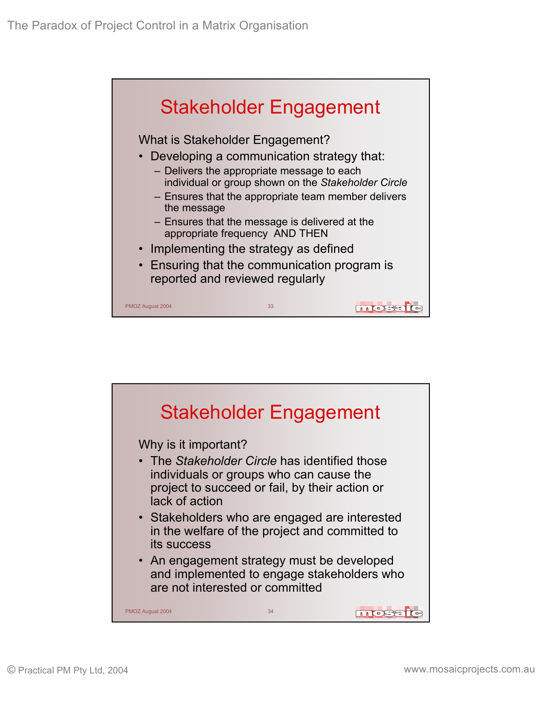

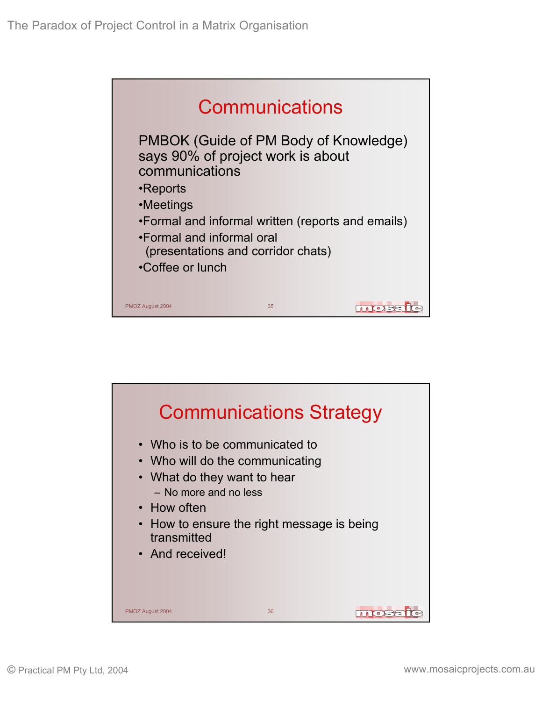

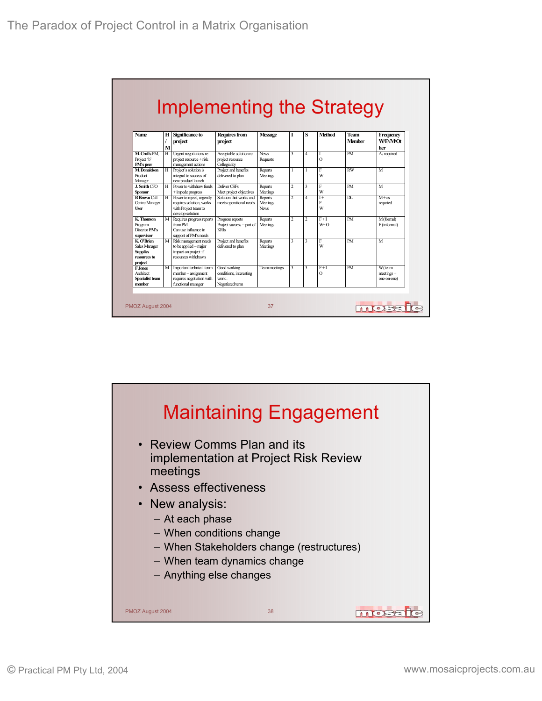|                                                                           |             |                                                                                                   | Implementing the Strategy                                          |                                    |                         |                         |                   |                       |                                              |
|---------------------------------------------------------------------------|-------------|---------------------------------------------------------------------------------------------------|--------------------------------------------------------------------|------------------------------------|-------------------------|-------------------------|-------------------|-----------------------|----------------------------------------------|
| <b>Name</b>                                                               | н<br>1<br>M | Significance to<br>project                                                                        | <b>Requires from</b><br>project                                    | <b>Message</b>                     | I                       | s                       | <b>Method</b>     | Team<br><b>Member</b> | Frequency<br>W/F//M/Ot<br>her                |
| M. Crofts PM<br>Project 'b'<br>PM's peer                                  | H           | Urgent negotiations re<br>project resource + risk<br>management actions                           | Acceptable solution re<br>project resource<br>Collegiality         | <b>News</b><br>Requests            | $\overline{\mathbf{3}}$ | $\overline{a}$          | $\Omega$          | <b>PM</b>             | As required                                  |
| M. Donaldson<br>Product<br>Manager                                        | H           | Project's solution is<br>integral to success of<br>new product launch                             | Project and benefits<br>delivered to plan                          | Reports<br>Meetings                | 1                       |                         | Ė<br>W            | RW                    | M                                            |
| J. Smith CFO<br><b>Sponsor</b>                                            | H           | Power to withdraw funds<br>$+$ innede progress                                                    | Deliver CSFs<br>Meet project objectives                            | Reports<br>Meetings                | $\overline{c}$          | $\mathbf{3}$            | F<br>W            | PM                    | M                                            |
| <b>R</b> Brown Call<br>Centre Manager<br><b>User</b>                      | H           | Power to reject, urgently<br>requires solution, works<br>with Project team to<br>develop solution | Solution that works and<br>meets operational needs                 | Reports<br>Meetings<br><b>News</b> | $\overline{c}$          | $\overline{a}$          | $I +$<br>F<br>W   | DL.                   | $M + as$<br>requried                         |
| K. Thomson<br>Program<br>Director PM's<br>supervisor                      | M           | Requires progress reports<br>from PM<br>Can use influence in<br>support of PM's needs             | Progress reports<br>Project success $=$ part of<br><b>KRIs</b>     | Reports<br>Meetings                | $\overline{2}$          | $\overline{2}$          | $F+I$<br>$W+O$    | PM                    | M(formal)<br>F(informal)                     |
| K. O'Brien<br>Sales Manager<br><b>Supplies</b><br>resources to<br>project | M           | Risk management needs<br>to be applied - major<br>impact on project if<br>resources withdrawn     | Project and benefits<br>delivered to plan                          | Reports<br>Meetings                | $\ddot{ }$              | $\overline{\mathbf{3}}$ | F<br>W            | <b>PM</b>             | M                                            |
| <b>F.Jones</b><br>Architect<br><b>Specialist team</b><br>member           | M           | Important technical team<br>member-assignment<br>requires negotiation with<br>functional manager  | Good working<br>conditions, interesting<br>work<br>Negotiated term | Teammeetings                       | $\ddot{ }$              | $\overline{\mathbf{3}}$ | $F+I$<br>$\Omega$ | <b>PM</b>             | <b>W</b> (team<br>$metines +$<br>one-on-one) |

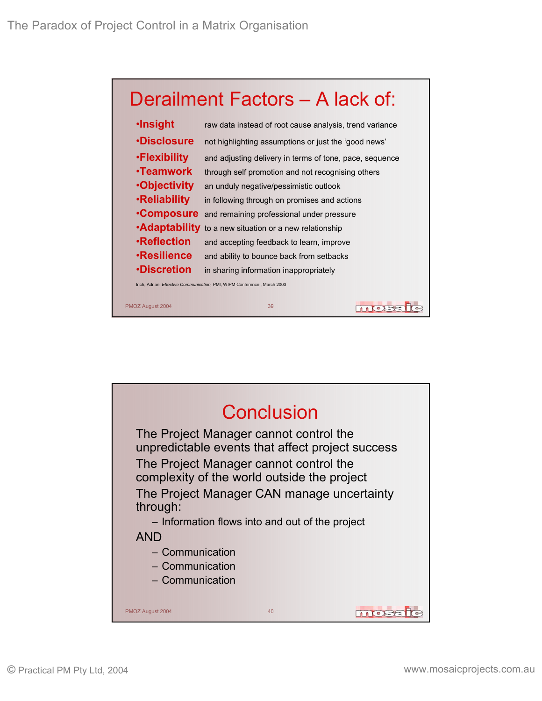

| <b>·Insight</b>     | raw data instead of root cause analysis, trend variance                 |
|---------------------|-------------------------------------------------------------------------|
| <b>.Disclosure</b>  | not highlighting assumptions or just the 'good news'                    |
| •Flexibility        | and adjusting delivery in terms of tone, pace, sequence                 |
| ∙Teamwork           | through self promotion and not recognising others                       |
| <b>•Objectivity</b> | an unduly negative/pessimistic outlook                                  |
| <b>.Reliability</b> | in following through on promises and actions                            |
| <b>Composure</b>    | and remaining professional under pressure                               |
|                     | <b>•Adaptability</b> to a new situation or a new relationship           |
| <b>•Reflection</b>  | and accepting feedback to learn, improve                                |
| <b>·Resilience</b>  | and ability to bounce back from setbacks                                |
| <b>•Discretion</b>  | in sharing information inappropriately                                  |
|                     | Inch, Adrian, Effective Communication, PMI, WIPM Conference, March 2003 |
| PMOZ August 2004    | 39<br>$\circ$ X                                                         |